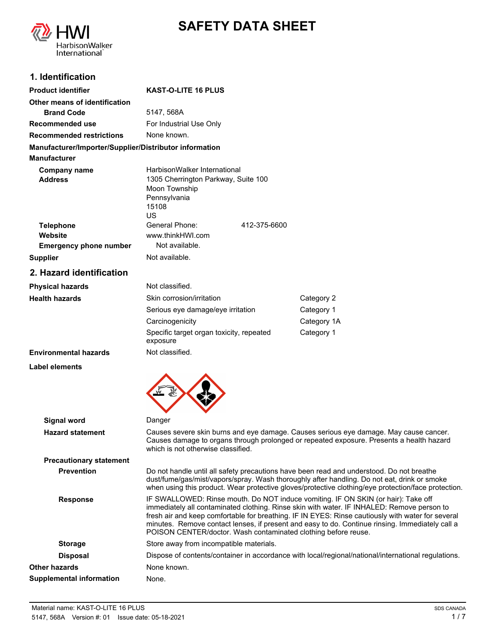



## **1. Identification**

| <b>Product identifier</b>                              | <b>KAST-O-LITE 16 PLUS</b>                                                                                          |             |  |
|--------------------------------------------------------|---------------------------------------------------------------------------------------------------------------------|-------------|--|
| Other means of identification                          |                                                                                                                     |             |  |
| <b>Brand Code</b>                                      | 5147, 568A                                                                                                          |             |  |
| <b>Recommended use</b>                                 | For Industrial Use Only                                                                                             |             |  |
| <b>Recommended restrictions</b>                        | None known.                                                                                                         |             |  |
| Manufacturer/Importer/Supplier/Distributor information |                                                                                                                     |             |  |
| <b>Manufacturer</b>                                    |                                                                                                                     |             |  |
| Company name<br><b>Address</b>                         | HarbisonWalker International<br>1305 Cherrington Parkway, Suite 100<br>Moon Township<br>Pennsylvania<br>15108<br>US |             |  |
| <b>Telephone</b>                                       | General Phone:<br>412-375-6600                                                                                      |             |  |
| Website                                                | www.thinkHWI.com                                                                                                    |             |  |
| <b>Emergency phone number</b>                          | Not available.                                                                                                      |             |  |
| <b>Supplier</b>                                        | Not available.                                                                                                      |             |  |
| 2. Hazard identification                               |                                                                                                                     |             |  |
| <b>Physical hazards</b>                                | Not classified.                                                                                                     |             |  |
| <b>Health hazards</b>                                  | Skin corrosion/irritation                                                                                           | Category 2  |  |
|                                                        | Serious eye damage/eye irritation                                                                                   | Category 1  |  |
|                                                        | Carcinogenicity                                                                                                     | Category 1A |  |
|                                                        | Specific target organ toxicity, repeated<br>exposure                                                                | Category 1  |  |
| <b>Environmental hazards</b>                           | Not classified.                                                                                                     |             |  |
| <b>Label elements</b>                                  |                                                                                                                     |             |  |



| Signal word                     | Danger                                                                                                                                                                                                                                                                                                                                                                                                                                                    |
|---------------------------------|-----------------------------------------------------------------------------------------------------------------------------------------------------------------------------------------------------------------------------------------------------------------------------------------------------------------------------------------------------------------------------------------------------------------------------------------------------------|
| <b>Hazard statement</b>         | Causes severe skin burns and eye damage. Causes serious eye damage. May cause cancer.<br>Causes damage to organs through prolonged or repeated exposure. Presents a health hazard<br>which is not otherwise classified.                                                                                                                                                                                                                                   |
| <b>Precautionary statement</b>  |                                                                                                                                                                                                                                                                                                                                                                                                                                                           |
| <b>Prevention</b>               | Do not handle until all safety precautions have been read and understood. Do not breathe<br>dust/fume/gas/mist/vapors/spray. Wash thoroughly after handling. Do not eat, drink or smoke<br>when using this product. Wear protective gloves/protective clothing/eye protection/face protection.                                                                                                                                                            |
| <b>Response</b>                 | IF SWALLOWED: Rinse mouth. Do NOT induce vomiting. IF ON SKIN (or hair): Take off<br>immediately all contaminated clothing. Rinse skin with water. IF INHALED: Remove person to<br>fresh air and keep comfortable for breathing. IF IN EYES: Rinse cautiously with water for several<br>minutes. Remove contact lenses, if present and easy to do. Continue rinsing. Immediately call a<br>POISON CENTER/doctor. Wash contaminated clothing before reuse. |
| <b>Storage</b>                  | Store away from incompatible materials.                                                                                                                                                                                                                                                                                                                                                                                                                   |
| <b>Disposal</b>                 | Dispose of contents/container in accordance with local/regional/national/international regulations.                                                                                                                                                                                                                                                                                                                                                       |
| Other hazards                   | None known.                                                                                                                                                                                                                                                                                                                                                                                                                                               |
| <b>Supplemental information</b> | None.                                                                                                                                                                                                                                                                                                                                                                                                                                                     |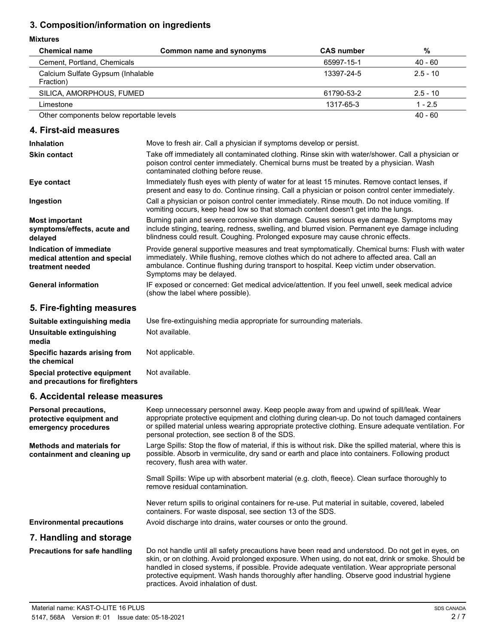# **3. Composition/information on ingredients**

### **Mixtures**

| <b>Chemical name</b>                           | Common name and synonyms | <b>CAS number</b> | %          |
|------------------------------------------------|--------------------------|-------------------|------------|
| Cement, Portland, Chemicals                    |                          | 65997-15-1        | $40 - 60$  |
| Calcium Sulfate Gypsum (Inhalable<br>Fraction) |                          | 13397-24-5        | $2.5 - 10$ |
| SILICA, AMORPHOUS, FUMED                       |                          | 61790-53-2        | $2.5 - 10$ |
| Limestone                                      |                          | 1317-65-3         | $1 - 2.5$  |
| Other components below reportable levels       |                          |                   | $40 - 60$  |

### **4. First-aid measures**

| <b>Inhalation</b>                                                            | Move to fresh air. Call a physician if symptoms develop or persist.                                                                                                                                                                                                                                                   |
|------------------------------------------------------------------------------|-----------------------------------------------------------------------------------------------------------------------------------------------------------------------------------------------------------------------------------------------------------------------------------------------------------------------|
| <b>Skin contact</b>                                                          | Take off immediately all contaminated clothing. Rinse skin with water/shower. Call a physician or<br>poison control center immediately. Chemical burns must be treated by a physician. Wash<br>contaminated clothing before reuse.                                                                                    |
| Eye contact                                                                  | Immediately flush eyes with plenty of water for at least 15 minutes. Remove contact lenses, if<br>present and easy to do. Continue rinsing. Call a physician or poison control center immediately.                                                                                                                    |
| Ingestion                                                                    | Call a physician or poison control center immediately. Rinse mouth. Do not induce vomiting. If<br>vomiting occurs, keep head low so that stomach content doesn't get into the lungs.                                                                                                                                  |
| <b>Most important</b><br>symptoms/effects, acute and<br>delayed              | Burning pain and severe corrosive skin damage. Causes serious eye damage. Symptoms may<br>include stinging, tearing, redness, swelling, and blurred vision. Permanent eye damage including<br>blindness could result. Coughing. Prolonged exposure may cause chronic effects.                                         |
| Indication of immediate<br>medical attention and special<br>treatment needed | Provide general supportive measures and treat symptomatically. Chemical burns: Flush with water<br>immediately. While flushing, remove clothes which do not adhere to affected area. Call an<br>ambulance. Continue flushing during transport to hospital. Keep victim under observation.<br>Symptoms may be delayed. |
| <b>General information</b>                                                   | IF exposed or concerned: Get medical advice/attention. If you feel unwell, seek medical advice<br>(show the label where possible).                                                                                                                                                                                    |

# **5. Fire-fighting measures**

| Suitable extinguishing media                                     | Use fire-extinguishing media appropriate for surrounding materials. |
|------------------------------------------------------------------|---------------------------------------------------------------------|
| Unsuitable extinguishing<br>media                                | Not available.                                                      |
| Specific hazards arising from<br>the chemical                    | Not applicable.                                                     |
| Special protective equipment<br>and precautions for firefighters | Not available.                                                      |

# **6. Accidental release measures**

| <b>Personal precautions,</b><br>protective equipment and<br>emergency procedures | Keep unnecessary personnel away. Keep people away from and upwind of spill/leak. Wear<br>appropriate protective equipment and clothing during clean-up. Do not touch damaged containers<br>or spilled material unless wearing appropriate protective clothing. Ensure adequate ventilation. For<br>personal protection, see section 8 of the SDS.                                                                                               |
|----------------------------------------------------------------------------------|-------------------------------------------------------------------------------------------------------------------------------------------------------------------------------------------------------------------------------------------------------------------------------------------------------------------------------------------------------------------------------------------------------------------------------------------------|
| Methods and materials for<br>containment and cleaning up                         | Large Spills: Stop the flow of material, if this is without risk. Dike the spilled material, where this is<br>possible. Absorb in vermiculite, dry sand or earth and place into containers. Following product<br>recovery, flush area with water.                                                                                                                                                                                               |
|                                                                                  | Small Spills: Wipe up with absorbent material (e.g. cloth, fleece). Clean surface thoroughly to<br>remove residual contamination.                                                                                                                                                                                                                                                                                                               |
|                                                                                  | Never return spills to original containers for re-use. Put material in suitable, covered, labeled<br>containers. For waste disposal, see section 13 of the SDS.                                                                                                                                                                                                                                                                                 |
| <b>Environmental precautions</b>                                                 | Avoid discharge into drains, water courses or onto the ground.                                                                                                                                                                                                                                                                                                                                                                                  |
| 7. Handling and storage                                                          |                                                                                                                                                                                                                                                                                                                                                                                                                                                 |
| <b>Precautions for safe handling</b>                                             | Do not handle until all safety precautions have been read and understood. Do not get in eyes, on<br>skin, or on clothing. Avoid prolonged exposure. When using, do not eat, drink or smoke. Should be<br>handled in closed systems, if possible. Provide adequate ventilation. Wear appropriate personal<br>protective equipment. Wash hands thoroughly after handling. Observe good industrial hygiene<br>practices. Avoid inhalation of dust. |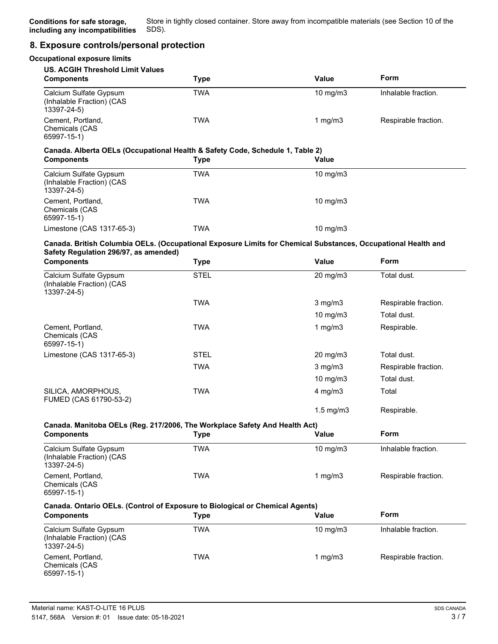## **8. Exposure controls/personal protection**

| <b>Occupational exposure limits</b>                                                                           |             |                |                      |
|---------------------------------------------------------------------------------------------------------------|-------------|----------------|----------------------|
| <b>US. ACGIH Threshold Limit Values</b><br><b>Components</b>                                                  | <b>Type</b> | <b>Value</b>   | Form                 |
| Calcium Sulfate Gypsum<br>(Inhalable Fraction) (CAS<br>13397-24-5)                                            | <b>TWA</b>  | 10 mg/m3       | Inhalable fraction.  |
| Cement, Portland,<br>Chemicals (CAS<br>65997-15-1)                                                            | <b>TWA</b>  | 1 mg/m $3$     | Respirable fraction. |
| Canada. Alberta OELs (Occupational Health & Safety Code, Schedule 1, Table 2)                                 |             |                |                      |
| <b>Components</b>                                                                                             | <b>Type</b> | Value          |                      |
| Calcium Sulfate Gypsum<br>(Inhalable Fraction) (CAS<br>$13397 - 24 - 5$                                       | <b>TWA</b>  | 10 mg/m3       |                      |
| Cement, Portland,<br>Chemicals (CAS<br>65997-15-1)                                                            | <b>TWA</b>  | 10 mg/m3       |                      |
| Limestone (CAS 1317-65-3)                                                                                     | <b>TWA</b>  | 10 mg/m3       |                      |
| Canada. British Columbia OELs. (Occupational Exposure Limits for Chemical Substances, Occupational Health and |             |                |                      |
| Safety Regulation 296/97, as amended)<br><b>Components</b>                                                    | <b>Type</b> | Value          | Form                 |
| Calcium Sulfate Gypsum<br>(Inhalable Fraction) (CAS<br>13397-24-5)                                            | <b>STEL</b> | 20 mg/m3       | Total dust.          |
|                                                                                                               | <b>TWA</b>  | $3$ mg/m $3$   | Respirable fraction. |
|                                                                                                               |             | 10 mg/m3       | Total dust.          |
| Cement, Portland,<br>Chemicals (CAS<br>65997-15-1)                                                            | <b>TWA</b>  | 1 $mg/m3$      | Respirable.          |
| Limestone (CAS 1317-65-3)                                                                                     | <b>STEL</b> | 20 mg/m3       | Total dust.          |
|                                                                                                               | <b>TWA</b>  | $3$ mg/m $3$   | Respirable fraction. |
|                                                                                                               |             | 10 $mg/m3$     | Total dust.          |
| SILICA, AMORPHOUS,<br>FUMED (CAS 61790-53-2)                                                                  | <b>TWA</b>  | 4 mg/m3        | Total                |
|                                                                                                               |             | $1.5$ mg/m $3$ | Respirable.          |
| Canada. Manitoba OELs (Reg. 217/2006, The Workplace Safety And Health Act)                                    |             |                |                      |
| <b>Components</b>                                                                                             | <b>Type</b> | <b>Value</b>   | Form                 |
| Calcium Sulfate Gypsum<br>(Inhalable Fraction) (CAS<br>13397-24-5)                                            | <b>TWA</b>  | 10 mg/m3       | Inhalable fraction.  |
| Cement, Portland,<br>Chemicals (CAS<br>65997-15-1)                                                            | <b>TWA</b>  | 1 $mg/m3$      | Respirable fraction. |
| Canada. Ontario OELs. (Control of Exposure to Biological or Chemical Agents)<br><b>Components</b>             | <b>Type</b> | Value          | Form                 |
| Calcium Sulfate Gypsum<br>(Inhalable Fraction) (CAS<br>13397-24-5)                                            | <b>TWA</b>  | 10 mg/m3       | Inhalable fraction.  |
| Cement, Portland,<br>Chemicals (CAS<br>65997-15-1)                                                            | <b>TWA</b>  | 1 $mg/m3$      | Respirable fraction. |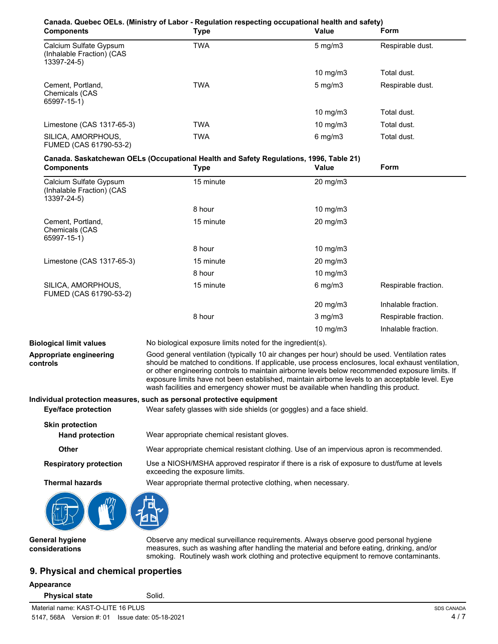| Canada. Quebec OELs. (Ministry of Labor - Regulation respecting occupational health and safety) |             |                   |                  |
|-------------------------------------------------------------------------------------------------|-------------|-------------------|------------------|
| <b>Components</b>                                                                               | Type        | Value             | Form             |
| Calcium Sulfate Gypsum<br>(Inhalable Fraction) (CAS<br>13397-24-5)                              | <b>TWA</b>  | $5 \text{ mg/m}$  | Respirable dust. |
|                                                                                                 |             | $10 \text{ mg/m}$ | Total dust.      |
| Cement, Portland,<br>Chemicals (CAS<br>65997-15-1)                                              | <b>TWA</b>  | $5 \text{ mg/m}$  | Respirable dust. |
|                                                                                                 |             | $10 \text{ mg/m}$ | Total dust.      |
| Limestone (CAS 1317-65-3)                                                                       | <b>TWA</b>  | $10 \text{ mg/m}$ | Total dust.      |
| SILICA, AMORPHOUS.<br>FUMED (CAS 61790-53-2)                                                    | <b>TWA</b>  | $6 \text{ mg/m}$  | Total dust.      |
| Canada. Saskatchewan OELs (Occupational Health and Safety Regulations, 1996, Table 21)          |             |                   |                  |
| <b>Components</b>                                                                               | <b>Type</b> | <b>Value</b>      | <b>Form</b>      |

| 1 J P C   | . aiuc              |                      |
|-----------|---------------------|----------------------|
| 15 minute | $20 \text{ mg/m}$ 3 |                      |
| 8 hour    | 10 mg/m $3$         |                      |
| 15 minute | $20 \text{ mg/m}$ 3 |                      |
| 8 hour    | 10 mg/m $3$         |                      |
| 15 minute | $20 \text{ mg/m}$ 3 |                      |
| 8 hour    | 10 mg/m3            |                      |
| 15 minute | $6$ mg/m $3$        | Respirable fraction. |
|           | $20 \text{ mg/m}$ 3 | Inhalable fraction.  |
| 8 hour    | $3$ mg/m $3$        | Respirable fraction. |
|           | 10 mg/m $3$         | Inhalable fraction.  |
|           |                     |                      |

**Biological limit values** No biological exposure limits noted for the ingredient(s). Good general ventilation (typically 10 air changes per hour) should be used. Ventilation rates should be matched to conditions. If applicable, use process enclosures, local exhaust ventilation, or other engineering controls to maintain airborne levels below recommended exposure limits. If exposure limits have not been established, maintain airborne levels to an acceptable level. Eye wash facilities and emergency shower must be available when handling this product. **Appropriate engineering controls Individual protection measures, such as personal protective equipment Eye/face protection** Wear safety glasses with side shields (or goggles) and a face shield. **Skin protection**

**Hand protection** Wear appropriate chemical resistant gloves.

**Other** Wear appropriate chemical resistant clothing. Use of an impervious apron is recommended.

Use a NIOSH/MSHA approved respirator if there is a risk of exposure to dust/fume at levels exceeding the exposure limits. **Respiratory protection**

**Thermal hazards** Wear appropriate thermal protective clothing, when necessary.



**General hygiene considerations**

Observe any medical surveillance requirements. Always observe good personal hygiene measures, such as washing after handling the material and before eating, drinking, and/or smoking. Routinely wash work clothing and protective equipment to remove contaminants.

# **9. Physical and chemical properties**

### **Appearance**

**Physical state** Solid.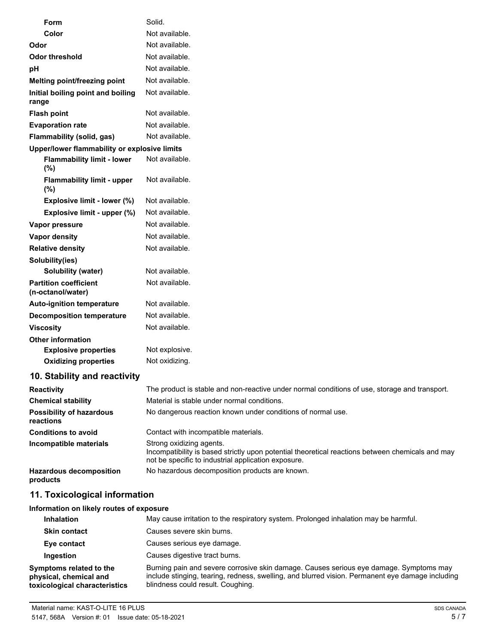| Form                                              | Solid.                                                                                                                                                                              |
|---------------------------------------------------|-------------------------------------------------------------------------------------------------------------------------------------------------------------------------------------|
| Color                                             | Not available.                                                                                                                                                                      |
| Odor                                              | Not available.                                                                                                                                                                      |
| <b>Odor threshold</b>                             | Not available.                                                                                                                                                                      |
| pH                                                | Not available.                                                                                                                                                                      |
| Melting point/freezing point                      | Not available.                                                                                                                                                                      |
| Initial boiling point and boiling<br>range        | Not available.                                                                                                                                                                      |
| <b>Flash point</b>                                | Not available.                                                                                                                                                                      |
| <b>Evaporation rate</b>                           | Not available.                                                                                                                                                                      |
| Flammability (solid, gas)                         | Not available.                                                                                                                                                                      |
| Upper/lower flammability or explosive limits      |                                                                                                                                                                                     |
| <b>Flammability limit - lower</b><br>(%)          | Not available.                                                                                                                                                                      |
| <b>Flammability limit - upper</b><br>(%)          | Not available.                                                                                                                                                                      |
| Explosive limit - lower (%)                       | Not available.                                                                                                                                                                      |
| Explosive limit - upper (%)                       | Not available.                                                                                                                                                                      |
| Vapor pressure                                    | Not available.                                                                                                                                                                      |
| Vapor density                                     | Not available.                                                                                                                                                                      |
| <b>Relative density</b>                           | Not available.                                                                                                                                                                      |
| Solubility(ies)                                   |                                                                                                                                                                                     |
| <b>Solubility (water)</b>                         | Not available.                                                                                                                                                                      |
| <b>Partition coefficient</b><br>(n-octanol/water) | Not available.                                                                                                                                                                      |
| <b>Auto-ignition temperature</b>                  | Not available.                                                                                                                                                                      |
| <b>Decomposition temperature</b>                  | Not available.                                                                                                                                                                      |
| <b>Viscosity</b>                                  | Not available.                                                                                                                                                                      |
| <b>Other information</b>                          |                                                                                                                                                                                     |
| <b>Explosive properties</b>                       | Not explosive.                                                                                                                                                                      |
| <b>Oxidizing properties</b>                       | Not oxidizing.                                                                                                                                                                      |
| 10. Stability and reactivity                      |                                                                                                                                                                                     |
| <b>Reactivity</b>                                 | The product is stable and non-reactive under normal conditions of use, storage and transport.                                                                                       |
| <b>Chemical stability</b>                         | Material is stable under normal conditions.                                                                                                                                         |
| <b>Possibility of hazardous</b><br>reactions      | No dangerous reaction known under conditions of normal use.                                                                                                                         |
| <b>Conditions to avoid</b>                        | Contact with incompatible materials.                                                                                                                                                |
| Incompatible materials                            | Strong oxidizing agents.<br>Incompatibility is based strictly upon potential theoretical reactions between chemicals and may<br>not be specific to industrial application exposure. |
| <b>Hazardous decomposition</b><br>products        | No hazardous decomposition products are known.                                                                                                                                      |

# **11. Toxicological information**

# **Information on likely routes of exposure**

| <b>Inhalation</b>                                                                  | May cause irritation to the respiratory system. Prolonged inhalation may be harmful.                                                                                                                                            |
|------------------------------------------------------------------------------------|---------------------------------------------------------------------------------------------------------------------------------------------------------------------------------------------------------------------------------|
| <b>Skin contact</b>                                                                | Causes severe skin burns.                                                                                                                                                                                                       |
| Eye contact                                                                        | Causes serious eye damage.                                                                                                                                                                                                      |
| Ingestion                                                                          | Causes digestive tract burns.                                                                                                                                                                                                   |
| Symptoms related to the<br>physical, chemical and<br>toxicological characteristics | Burning pain and severe corrosive skin damage. Causes serious eye damage. Symptoms may<br>include stinging, tearing, redness, swelling, and blurred vision. Permanent eye damage including<br>blindness could result. Coughing. |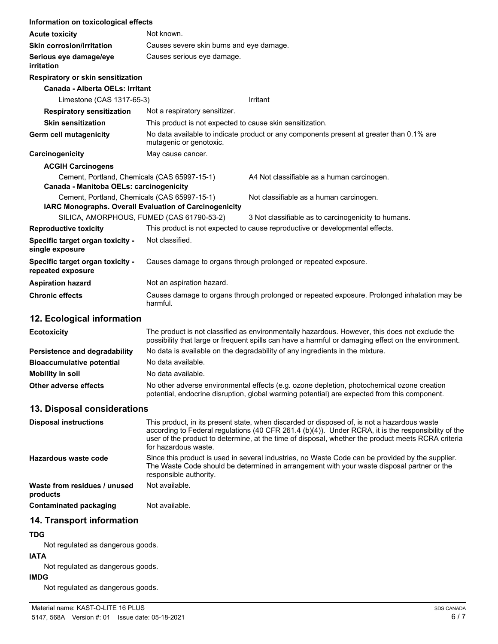| Information on toxicological effects                                                    |                                                                                                                     |                                                                                                                                                                                                       |
|-----------------------------------------------------------------------------------------|---------------------------------------------------------------------------------------------------------------------|-------------------------------------------------------------------------------------------------------------------------------------------------------------------------------------------------------|
| <b>Acute toxicity</b>                                                                   | Not known.                                                                                                          |                                                                                                                                                                                                       |
| <b>Skin corrosion/irritation</b>                                                        | Causes severe skin burns and eye damage.                                                                            |                                                                                                                                                                                                       |
| Serious eye damage/eye<br>irritation                                                    | Causes serious eye damage.                                                                                          |                                                                                                                                                                                                       |
| <b>Respiratory or skin sensitization</b>                                                |                                                                                                                     |                                                                                                                                                                                                       |
| Canada - Alberta OELs: Irritant                                                         |                                                                                                                     |                                                                                                                                                                                                       |
| Limestone (CAS 1317-65-3)                                                               |                                                                                                                     | Irritant                                                                                                                                                                                              |
| <b>Respiratory sensitization</b>                                                        | Not a respiratory sensitizer.                                                                                       |                                                                                                                                                                                                       |
| <b>Skin sensitization</b>                                                               | This product is not expected to cause skin sensitization.                                                           |                                                                                                                                                                                                       |
| <b>Germ cell mutagenicity</b>                                                           | No data available to indicate product or any components present at greater than 0.1% are<br>mutagenic or genotoxic. |                                                                                                                                                                                                       |
| Carcinogenicity                                                                         | May cause cancer.                                                                                                   |                                                                                                                                                                                                       |
| <b>ACGIH Carcinogens</b>                                                                |                                                                                                                     |                                                                                                                                                                                                       |
| Cement, Portland, Chemicals (CAS 65997-15-1)<br>Canada - Manitoba OELs: carcinogenicity |                                                                                                                     | A4 Not classifiable as a human carcinogen.                                                                                                                                                            |
| Cement, Portland, Chemicals (CAS 65997-15-1)                                            | IARC Monographs. Overall Evaluation of Carcinogenicity                                                              | Not classifiable as a human carcinogen.                                                                                                                                                               |
|                                                                                         | SILICA, AMORPHOUS, FUMED (CAS 61790-53-2)                                                                           | 3 Not classifiable as to carcinogenicity to humans.                                                                                                                                                   |
| <b>Reproductive toxicity</b>                                                            |                                                                                                                     | This product is not expected to cause reproductive or developmental effects.                                                                                                                          |
| Specific target organ toxicity -<br>single exposure                                     | Not classified.                                                                                                     |                                                                                                                                                                                                       |
| Specific target organ toxicity -<br>repeated exposure                                   | Causes damage to organs through prolonged or repeated exposure.                                                     |                                                                                                                                                                                                       |
| <b>Aspiration hazard</b>                                                                | Not an aspiration hazard.                                                                                           |                                                                                                                                                                                                       |
| <b>Chronic effects</b>                                                                  | Causes damage to organs through prolonged or repeated exposure. Prolonged inhalation may be<br>harmful.             |                                                                                                                                                                                                       |
| 12. Ecological information                                                              |                                                                                                                     |                                                                                                                                                                                                       |
| <b>Ecotoxicity</b>                                                                      |                                                                                                                     | The product is not classified as environmentally hazardous. However, this does not exclude the<br>possibility that large or frequent spills can have a harmful or damaging effect on the environment. |
| Persistence and degradability                                                           |                                                                                                                     | No data is available on the degradability of any ingredients in the mixture.                                                                                                                          |
|                                                                                         |                                                                                                                     |                                                                                                                                                                                                       |

| <b>Bioaccumulative potential</b> | No data available.                                                                                                                                                                         |
|----------------------------------|--------------------------------------------------------------------------------------------------------------------------------------------------------------------------------------------|
| Mobility in soil                 | No data available.                                                                                                                                                                         |
| Other adverse effects            | No other adverse environmental effects (e.g. ozone depletion, photochemical ozone creation<br>potential, endocrine disruption, global warming potential) are expected from this component. |

# **13. Disposal considerations**

| <b>Disposal instructions</b>             | This product, in its present state, when discarded or disposed of, is not a hazardous waste<br>according to Federal regulations (40 CFR 261.4 $(b)(4)$ ). Under RCRA, it is the responsibility of the<br>user of the product to determine, at the time of disposal, whether the product meets RCRA criteria<br>for hazardous waste. |
|------------------------------------------|-------------------------------------------------------------------------------------------------------------------------------------------------------------------------------------------------------------------------------------------------------------------------------------------------------------------------------------|
| Hazardous waste code                     | Since this product is used in several industries, no Waste Code can be provided by the supplier.<br>The Waste Code should be determined in arrangement with your waste disposal partner or the<br>responsible authority.                                                                                                            |
| Waste from residues / unused<br>products | Not available.                                                                                                                                                                                                                                                                                                                      |
| Contaminated packaging                   | Not available.                                                                                                                                                                                                                                                                                                                      |

# **14. Transport information**

## **TDG**

Not regulated as dangerous goods.

# **IATA**

Not regulated as dangerous goods.

# **IMDG**

Not regulated as dangerous goods.